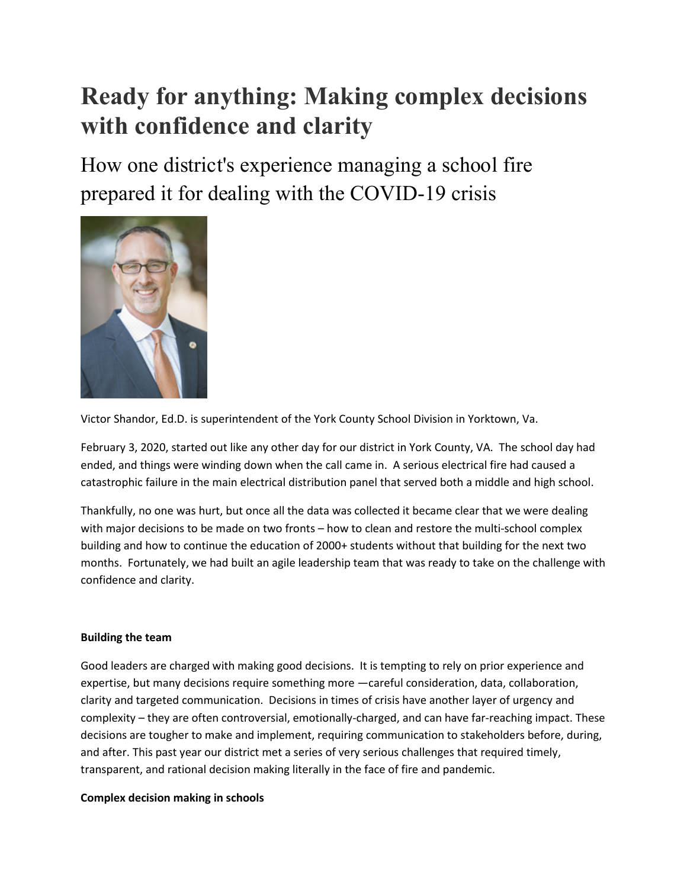# **Ready for anything: Making complex decisions with confidence and clarity**

How one district's experience managing a school fire prepared it for dealing with the COVID-19 crisis



Victor Shandor, Ed.D. is superintendent of the York County School Division in Yorktown, Va.

February 3, 2020, started out like any other day for our district in York County, VA. The school day had ended, and things were winding down when the call came in. A serious electrical fire had caused a catastrophic failure in the main electrical distribution panel that served both a middle and high school.

Thankfully, no one was hurt, but once all the data was collected it became clear that we were dealing with major decisions to be made on two fronts – how to clean and restore the multi-school complex building and how to continue the education of 2000+ students without that building for the next two months. Fortunately, we had built an agile leadership team that was ready to take on the challenge with confidence and clarity.

## **Building the team**

Good leaders are charged with making good decisions. It is tempting to rely on prior experience and expertise, but many decisions require something more —careful consideration, data, collaboration, clarity and targeted communication. Decisions in times of crisis have another layer of urgency and complexity – they are often controversial, emotionally-charged, and can have far-reaching impact. These decisions are tougher to make and implement, requiring communication to stakeholders before, during, and after. This past year our district met a series of very serious challenges that required timely, transparent, and rational decision making literally in the face of fire and pandemic.

#### **Complex decision making in schools**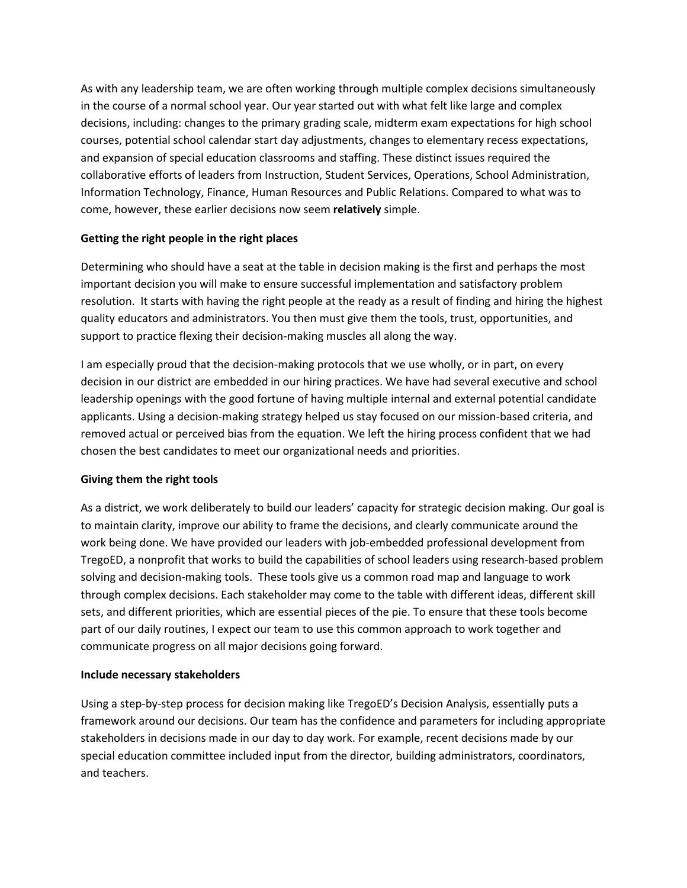As with any leadership team, we are often working through multiple complex decisions simultaneously in the course of a normal school year. Our year started out with what felt like large and complex decisions, including: changes to the primary grading scale, midterm exam expectations for high school courses, potential school calendar start day adjustments, changes to elementary recess expectations, and expansion of special education classrooms and staffing. These distinct issues required the collaborative efforts of leaders from Instruction, Student Services, Operations, School Administration, Information Technology, Finance, Human Resources and Public Relations. Compared to what was to come, however, these earlier decisions now seem **relatively** simple.

### **Getting the right people in the right places**

Determining who should have a seat at the table in decision making is the first and perhaps the most important decision you will make to ensure successful implementation and satisfactory problem resolution. It starts with having the right people at the ready as a result of finding and hiring the highest quality educators and administrators. You then must give them the tools, trust, opportunities, and support to practice flexing their decision-making muscles all along the way.

I am especially proud that the decision-making protocols that we use wholly, or in part, on every decision in our district are embedded in our hiring practices. We have had several executive and school leadership openings with the good fortune of having multiple internal and external potential candidate applicants. Using a decision-making strategy helped us stay focused on our mission-based criteria, and removed actual or perceived bias from the equation. We left the hiring process confident that we had chosen the best candidates to meet our organizational needs and priorities.

## **Giving them the right tools**

As a district, we work deliberately to build our leaders' capacity for strategic decision making. Our goal is to maintain clarity, improve our ability to frame the decisions, and clearly communicate around the work being done. We have provided our leaders with job-embedded professional development from TregoED, a nonprofit that works to build the capabilities of school leaders using research-based problem solving and decision-making tools. These tools give us a common road map and language to work through complex decisions. Each stakeholder may come to the table with different ideas, different skill sets, and different priorities, which are essential pieces of the pie. To ensure that these tools become part of our daily routines, I expect our team to use this common approach to work together and communicate progress on all major decisions going forward.

#### **Include necessary stakeholders**

Using a step-by-step process for decision making like TregoED's Decision Analysis, essentially puts a framework around our decisions. Our team has the confidence and parameters for including appropriate stakeholders in decisions made in our day to day work. For example, recent decisions made by our special education committee included input from the director, building administrators, coordinators, and teachers.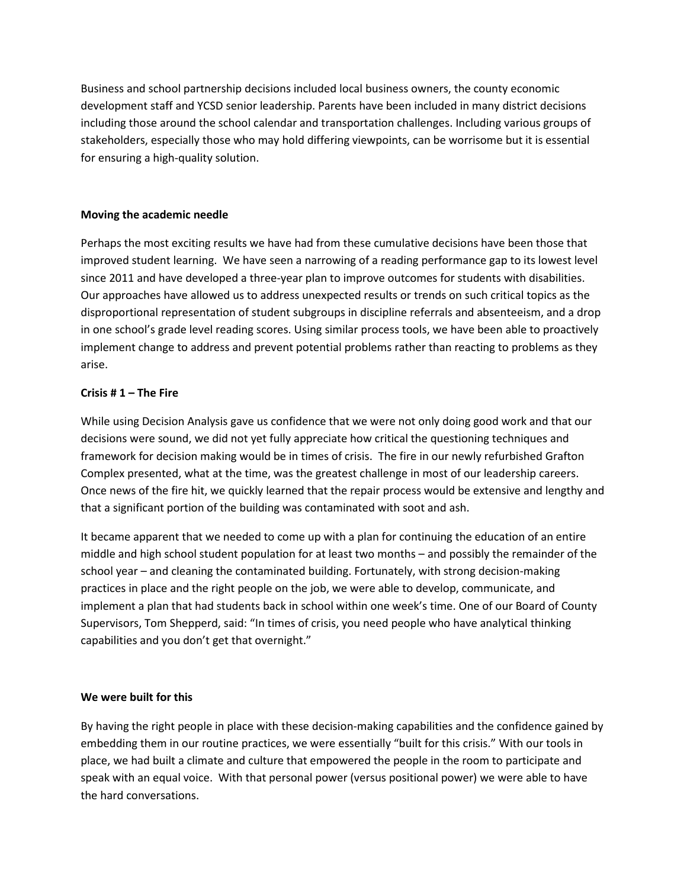Business and school partnership decisions included local business owners, the county economic development staff and YCSD senior leadership. Parents have been included in many district decisions including those around the school calendar and transportation challenges. Including various groups of stakeholders, especially those who may hold differing viewpoints, can be worrisome but it is essential for ensuring a high-quality solution.

#### **Moving the academic needle**

Perhaps the most exciting results we have had from these cumulative decisions have been those that improved student learning. We have seen a narrowing of a reading performance gap to its lowest level since 2011 and have developed a three-year plan to improve outcomes for students with disabilities. Our approaches have allowed us to address unexpected results or trends on such critical topics as the disproportional representation of student subgroups in discipline referrals and absenteeism, and a drop in one school's grade level reading scores. Using similar process tools, we have been able to proactively implement change to address and prevent potential problems rather than reacting to problems as they arise.

#### **Crisis # 1 – The Fire**

While using Decision Analysis gave us confidence that we were not only doing good work and that our decisions were sound, we did not yet fully appreciate how critical the questioning techniques and framework for decision making would be in times of crisis. The fire in our newly refurbished Grafton Complex presented, what at the time, was the greatest challenge in most of our leadership careers. Once news of the fire hit, we quickly learned that the repair process would be extensive and lengthy and that a significant portion of the building was contaminated with soot and ash.

It became apparent that we needed to come up with a plan for continuing the education of an entire middle and high school student population for at least two months – and possibly the remainder of the school year – and cleaning the contaminated building. Fortunately, with strong decision-making practices in place and the right people on the job, we were able to develop, communicate, and implement a plan that had students back in school within one week's time. One of our Board of County Supervisors, Tom Shepperd, said: "In times of crisis, you need people who have analytical thinking capabilities and you don't get that overnight."

#### **We were built for this**

By having the right people in place with these decision-making capabilities and the confidence gained by embedding them in our routine practices, we were essentially "built for this crisis." With our tools in place, we had built a climate and culture that empowered the people in the room to participate and speak with an equal voice. With that personal power (versus positional power) we were able to have the hard conversations.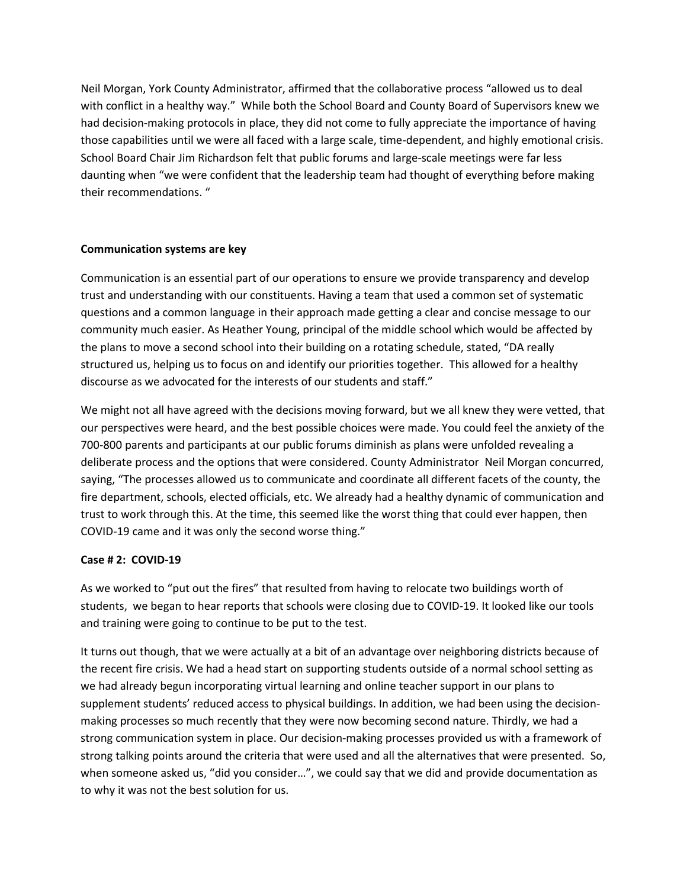Neil Morgan, York County Administrator, affirmed that the collaborative process "allowed us to deal with conflict in a healthy way." While both the School Board and County Board of Supervisors knew we had decision-making protocols in place, they did not come to fully appreciate the importance of having those capabilities until we were all faced with a large scale, time-dependent, and highly emotional crisis. School Board Chair Jim Richardson felt that public forums and large-scale meetings were far less daunting when "we were confident that the leadership team had thought of everything before making their recommendations. "

#### **Communication systems are key**

Communication is an essential part of our operations to ensure we provide transparency and develop trust and understanding with our constituents. Having a team that used a common set of systematic questions and a common language in their approach made getting a clear and concise message to our community much easier. As Heather Young, principal of the middle school which would be affected by the plans to move a second school into their building on a rotating schedule, stated, "DA really structured us, helping us to focus on and identify our priorities together. This allowed for a healthy discourse as we advocated for the interests of our students and staff."

We might not all have agreed with the decisions moving forward, but we all knew they were vetted, that our perspectives were heard, and the best possible choices were made. You could feel the anxiety of the 700-800 parents and participants at our public forums diminish as plans were unfolded revealing a deliberate process and the options that were considered. County Administrator Neil Morgan concurred, saying, "The processes allowed us to communicate and coordinate all different facets of the county, the fire department, schools, elected officials, etc. We already had a healthy dynamic of communication and trust to work through this. At the time, this seemed like the worst thing that could ever happen, then COVID-19 came and it was only the second worse thing."

#### **Case # 2: COVID-19**

As we worked to "put out the fires" that resulted from having to relocate two buildings worth of students, we began to hear reports that schools were closing due to COVID-19. It looked like our tools and training were going to continue to be put to the test.

It turns out though, that we were actually at a bit of an advantage over neighboring districts because of the recent fire crisis. We had a head start on supporting students outside of a normal school setting as we had already begun incorporating virtual learning and online teacher support in our plans to supplement students' reduced access to physical buildings. In addition, we had been using the decisionmaking processes so much recently that they were now becoming second nature. Thirdly, we had a strong communication system in place. Our decision-making processes provided us with a framework of strong talking points around the criteria that were used and all the alternatives that were presented. So, when someone asked us, "did you consider...", we could say that we did and provide documentation as to why it was not the best solution for us.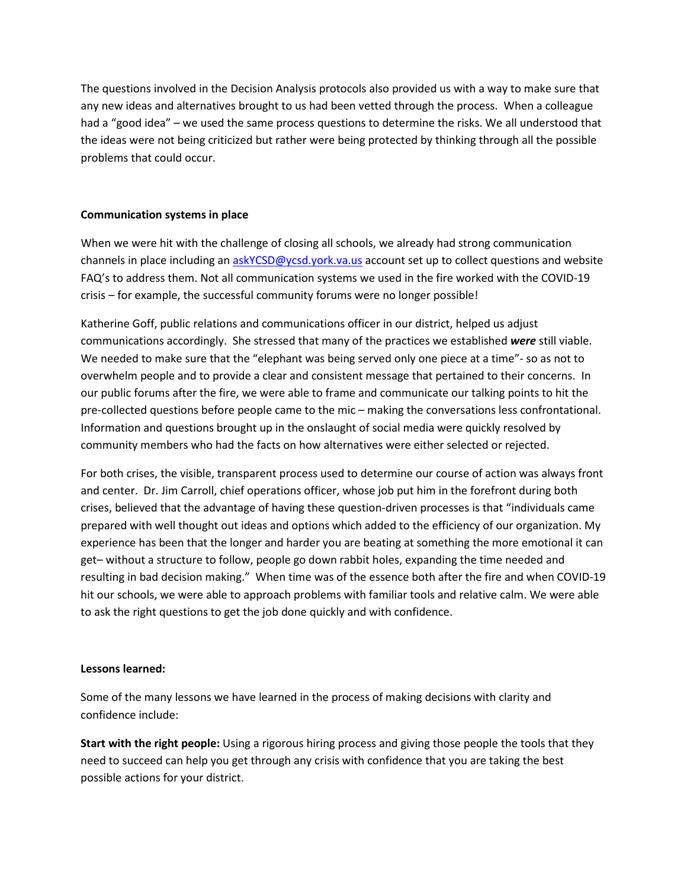The questions involved in the Decision Analysis protocols also provided us with a way to make sure that any new ideas and alternatives brought to us had been vetted through the process. When a colleague had a "good idea" – we used the same process questions to determine the risks. We all understood that the ideas were not being criticized but rather were being protected by thinking through all the possible problems that could occur.

#### **Communication systems in place**

When we were hit with the challenge of closing all schools, we already had strong communication channels in place including a[n askYCSD@ycsd.york.va.us](mailto:askYCSD@?????.org) account set up to collect questions and website FAQ's to address them. Not all communication systems we used in the fire worked with the COVID-19 crisis – for example, the successful community forums were no longer possible!

Katherine Goff, public relations and communications officer in our district, helped us adjust communications accordingly. She stressed that many of the practices we established *were* still viable. We needed to make sure that the "elephant was being served only one piece at a time"- so as not to overwhelm people and to provide a clear and consistent message that pertained to their concerns. In our public forums after the fire, we were able to frame and communicate our talking points to hit the pre-collected questions before people came to the mic – making the conversations less confrontational. Information and questions brought up in the onslaught of social media were quickly resolved by community members who had the facts on how alternatives were either selected or rejected.

For both crises, the visible, transparent process used to determine our course of action was always front and center. Dr. Jim Carroll, chief operations officer, whose job put him in the forefront during both crises, believed that the advantage of having these question-driven processes is that "individuals came prepared with well thought out ideas and options which added to the efficiency of our organization. My experience has been that the longer and harder you are beating at something the more emotional it can get– without a structure to follow, people go down rabbit holes, expanding the time needed and resulting in bad decision making." When time was of the essence both after the fire and when COVID-19 hit our schools, we were able to approach problems with familiar tools and relative calm. We were able to ask the right questions to get the job done quickly and with confidence.

#### **Lessons learned:**

Some of the many lessons we have learned in the process of making decisions with clarity and confidence include:

**Start with the right people:** Using a rigorous hiring process and giving those people the tools that they need to succeed can help you get through any crisis with confidence that you are taking the best possible actions for your district.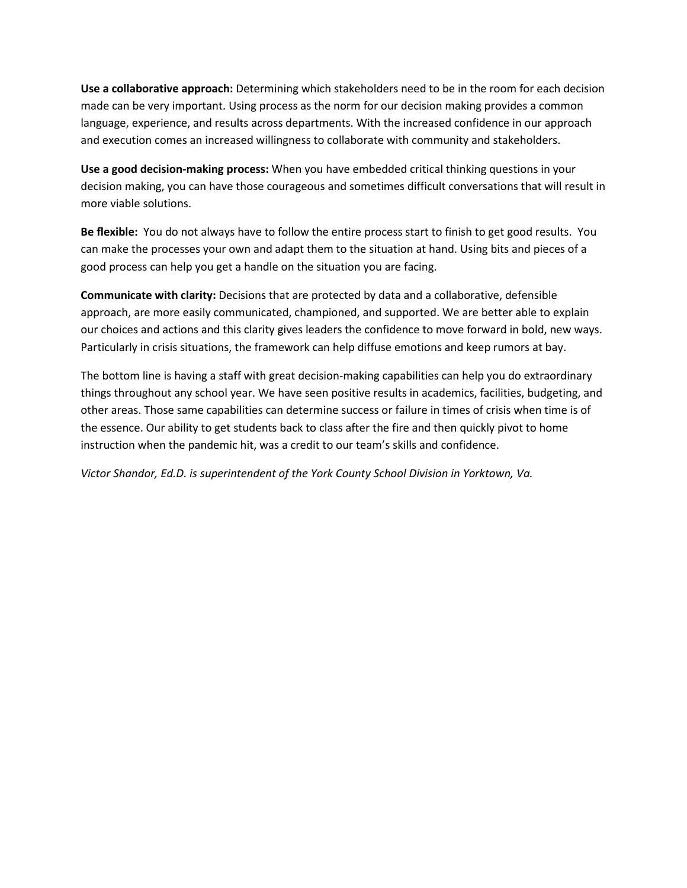**Use a collaborative approach:** Determining which stakeholders need to be in the room for each decision made can be very important. Using process as the norm for our decision making provides a common language, experience, and results across departments. With the increased confidence in our approach and execution comes an increased willingness to collaborate with community and stakeholders.

**Use a good decision-making process:** When you have embedded critical thinking questions in your decision making, you can have those courageous and sometimes difficult conversations that will result in more viable solutions.

**Be flexible:** You do not always have to follow the entire process start to finish to get good results. You can make the processes your own and adapt them to the situation at hand. Using bits and pieces of a good process can help you get a handle on the situation you are facing.

**Communicate with clarity:** Decisions that are protected by data and a collaborative, defensible approach, are more easily communicated, championed, and supported. We are better able to explain our choices and actions and this clarity gives leaders the confidence to move forward in bold, new ways. Particularly in crisis situations, the framework can help diffuse emotions and keep rumors at bay.

The bottom line is having a staff with great decision-making capabilities can help you do extraordinary things throughout any school year. We have seen positive results in academics, facilities, budgeting, and other areas. Those same capabilities can determine success or failure in times of crisis when time is of the essence. Our ability to get students back to class after the fire and then quickly pivot to home instruction when the pandemic hit, was a credit to our team's skills and confidence.

*Victor Shandor, Ed.D. is superintendent of the York County School Division in Yorktown, Va.*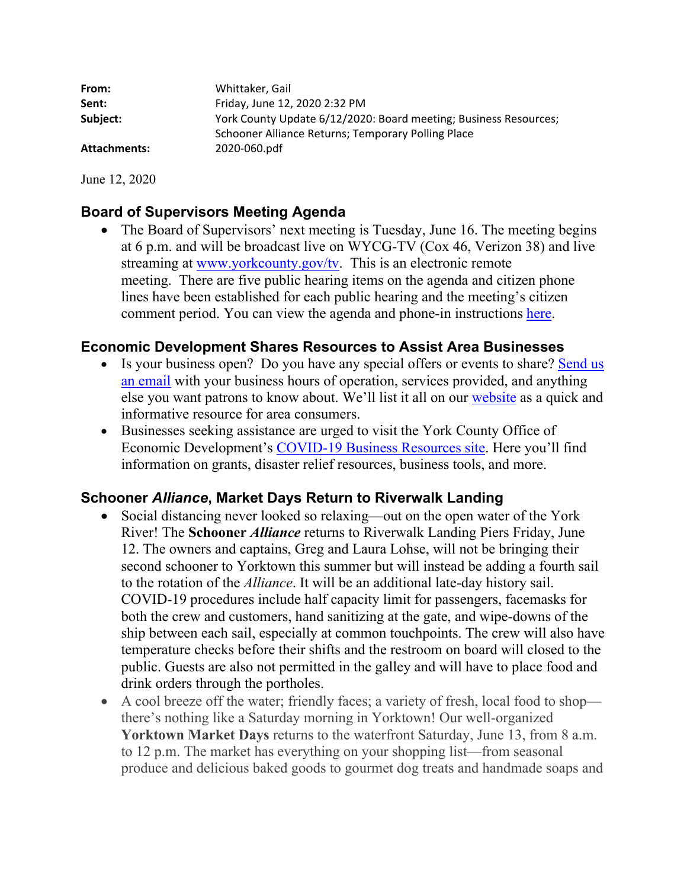| Whittaker, Gail                                                  |
|------------------------------------------------------------------|
| Friday, June 12, 2020 2:32 PM                                    |
| York County Update 6/12/2020: Board meeting; Business Resources; |
| Schooner Alliance Returns; Temporary Polling Place               |
| 2020-060.pdf                                                     |
|                                                                  |

June 12, 2020

## **Board of Supervisors Meeting Agenda**

• The Board of Supervisors' next meeting is Tuesday, June 16. The meeting begins at 6 p.m. and will be broadcast live on WYCG-TV (Cox 46, Verizon 38) and live streaming at www.yorkcounty.gov/ty. This is an electronic remote meeting. There are five public hearing items on the agenda and citizen phone lines have been established for each public hearing and the meeting's citizen comment period. You can view the agenda and phone-in instructions here.

## **Economic Development Shares Resources to Assist Area Businesses**

- Is your business open? Do you have any special offers or events to share? Send us an email with your business hours of operation, services provided, and anything else you want patrons to know about. We'll list it all on our website as a quick and informative resource for area consumers.
- Businesses seeking assistance are urged to visit the York County Office of Economic Development's COVID-19 Business Resources site. Here you'll find information on grants, disaster relief resources, business tools, and more.

## **Schooner** *Alliance***, Market Days Return to Riverwalk Landing**

- Social distancing never looked so relaxing—out on the open water of the York River! The **Schooner** *Alliance* returns to Riverwalk Landing Piers Friday, June 12. The owners and captains, Greg and Laura Lohse, will not be bringing their second schooner to Yorktown this summer but will instead be adding a fourth sail to the rotation of the *Alliance*. It will be an additional late-day history sail. COVID-19 procedures include half capacity limit for passengers, facemasks for both the crew and customers, hand sanitizing at the gate, and wipe-downs of the ship between each sail, especially at common touchpoints. The crew will also have temperature checks before their shifts and the restroom on board will closed to the public. Guests are also not permitted in the galley and will have to place food and drink orders through the portholes.
- A cool breeze off the water; friendly faces; a variety of fresh, local food to shop there's nothing like a Saturday morning in Yorktown! Our well-organized **Yorktown Market Days** returns to the waterfront Saturday, June 13, from 8 a.m. to 12 p.m. The market has everything on your shopping list—from seasonal produce and delicious baked goods to gourmet dog treats and handmade soaps and